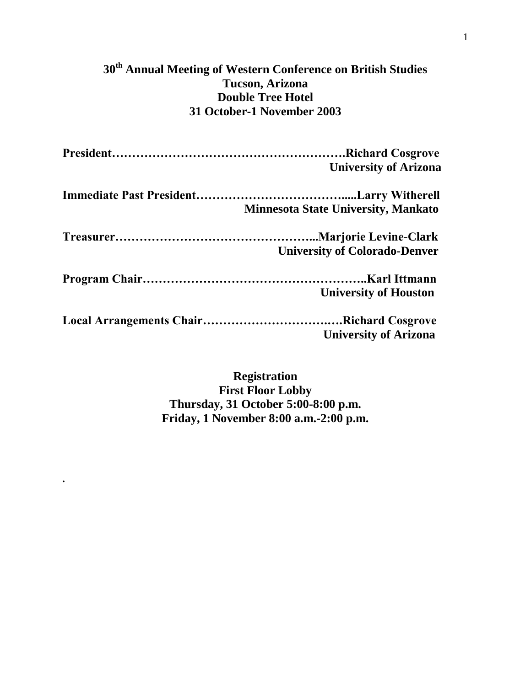# **30th Annual Meeting of Western Conference on British Studies Tucson, Arizona Double Tree Hotel 31 October-1 November 2003**

| <b>University of Arizona</b>               |
|--------------------------------------------|
| <b>Minnesota State University, Mankato</b> |
| <b>University of Colorado-Denver</b>       |
| <b>University of Houston</b>               |
| <b>University of Arizona</b>               |

**Registration First Floor Lobby Thursday, 31 October 5:00-8:00 p.m. Friday, 1 November 8:00 a.m.-2:00 p.m.**

**.**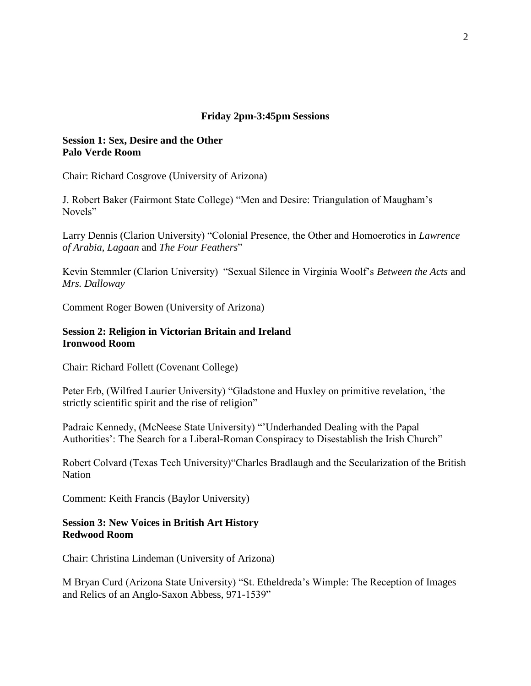### **Friday 2pm-3:45pm Sessions**

### **Session 1: Sex, Desire and the Other Palo Verde Room**

Chair: Richard Cosgrove (University of Arizona)

J. Robert Baker (Fairmont State College) "Men and Desire: Triangulation of Maugham's Novels"

Larry Dennis (Clarion University) "Colonial Presence, the Other and Homoerotics in *Lawrence of Arabia*, *Lagaan* and *The Four Feathers*"

Kevin Stemmler (Clarion University) "Sexual Silence in Virginia Woolf's *Between the Acts* and *Mrs. Dalloway*

Comment Roger Bowen (University of Arizona)

### **Session 2: Religion in Victorian Britain and Ireland Ironwood Room**

Chair: Richard Follett (Covenant College)

Peter Erb, (Wilfred Laurier University) "Gladstone and Huxley on primitive revelation, 'the strictly scientific spirit and the rise of religion"

Padraic Kennedy, (McNeese State University) "'Underhanded Dealing with the Papal Authorities': The Search for a Liberal-Roman Conspiracy to Disestablish the Irish Church"

Robert Colvard (Texas Tech University)"Charles Bradlaugh and the Secularization of the British Nation

Comment: Keith Francis (Baylor University)

### **Session 3: New Voices in British Art History Redwood Room**

Chair: Christina Lindeman (University of Arizona)

M Bryan Curd (Arizona State University) "St. Etheldreda's Wimple: The Reception of Images and Relics of an Anglo-Saxon Abbess, 971-1539"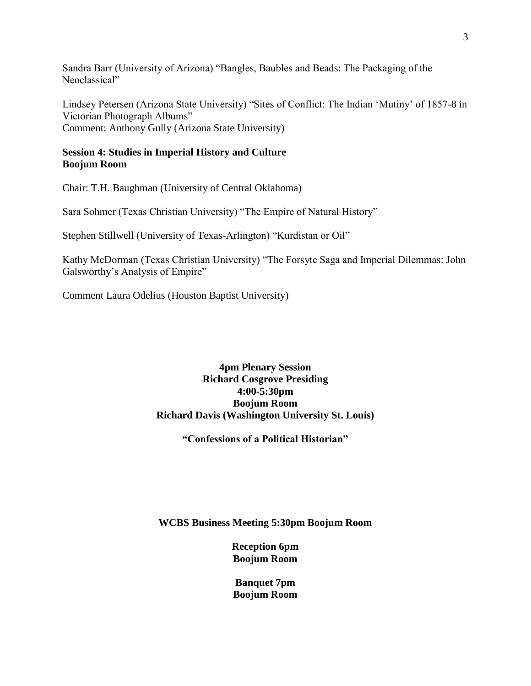Sandra Barr (University of Arizona) "Bangles, Baubles and Beads: The Packaging of the Neoclassical"

Lindsey Petersen (Arizona State University) "Sites of Conflict: The Indian 'Mutiny' of 1857-8 in Victorian Photograph Albums" Comment: Anthony Gully (Arizona State University)

# **Session 4: Studies in Imperial History and Culture Boojum Room**

Chair: T.H. Baughman (University of Central Oklahoma)

Sara Sohmer (Texas Christian University) "The Empire of Natural History"

Stephen Stillwell (University of Texas-Arlington) "Kurdistan or Oil"

Kathy McDorman (Texas Christian University) "The Forsyte Saga and Imperial Dilemmas: John Galsworthy's Analysis of Empire"

Comment Laura Odelius (Houston Baptist University)

# **4pm Plenary Session Richard Cosgrove Presiding 4:00-5:30pm Boojum Room Richard Davis (Washington University St. Louis)**

**"Confessions of a Political Historian"**

**WCBS Business Meeting 5:30pm Boojum Room**

**Reception 6pm Boojum Room**

**Banquet 7pm Boojum Room**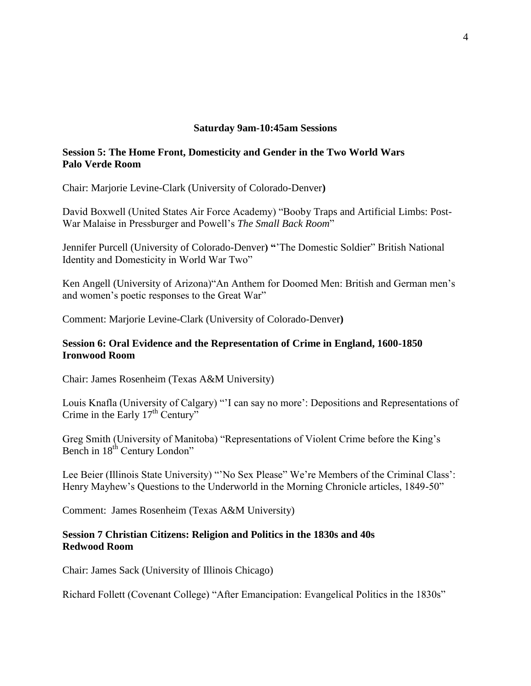#### **Saturday 9am-10:45am Sessions**

# **Session 5: The Home Front, Domesticity and Gender in the Two World Wars Palo Verde Room**

Chair: Marjorie Levine-Clark (University of Colorado-Denver**)**

David Boxwell (United States Air Force Academy) "Booby Traps and Artificial Limbs: Post-War Malaise in Pressburger and Powell's *The Small Back Room*"

Jennifer Purcell (University of Colorado-Denver**) "**'The Domestic Soldier" British National Identity and Domesticity in World War Two"

Ken Angell (University of Arizona)"An Anthem for Doomed Men: British and German men's and women's poetic responses to the Great War"

Comment: Marjorie Levine-Clark (University of Colorado-Denver**)**

# **Session 6: Oral Evidence and the Representation of Crime in England, 1600-1850 Ironwood Room**

Chair: James Rosenheim (Texas A&M University)

Louis Knafla (University of Calgary) "'I can say no more': Depositions and Representations of Crime in the Early  $17<sup>th</sup>$  Century"

Greg Smith (University of Manitoba) "Representations of Violent Crime before the King's Bench in 18<sup>th</sup> Century London"

Lee Beier (Illinois State University) "'No Sex Please" We're Members of the Criminal Class': Henry Mayhew's Questions to the Underworld in the Morning Chronicle articles, 1849-50"

Comment: James Rosenheim (Texas A&M University)

# **Session 7 Christian Citizens: Religion and Politics in the 1830s and 40s Redwood Room**

Chair: James Sack (University of Illinois Chicago)

Richard Follett (Covenant College) "After Emancipation: Evangelical Politics in the 1830s"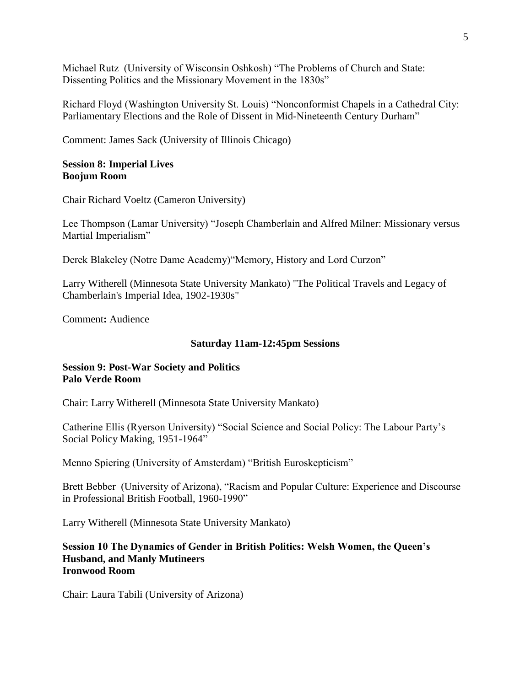Michael Rutz (University of Wisconsin Oshkosh) "The Problems of Church and State: Dissenting Politics and the Missionary Movement in the 1830s"

Richard Floyd (Washington University St. Louis) "Nonconformist Chapels in a Cathedral City: Parliamentary Elections and the Role of Dissent in Mid-Nineteenth Century Durham"

Comment: James Sack (University of Illinois Chicago)

#### **Session 8: Imperial Lives Boojum Room**

Chair Richard Voeltz (Cameron University)

Lee Thompson (Lamar University) "Joseph Chamberlain and Alfred Milner: Missionary versus Martial Imperialism"

Derek Blakeley (Notre Dame Academy)"Memory, History and Lord Curzon"

Larry Witherell (Minnesota State University Mankato) "The Political Travels and Legacy of Chamberlain's Imperial Idea, 1902-1930s"

Comment**:** Audience

#### **Saturday 11am-12:45pm Sessions**

### **Session 9: Post-War Society and Politics Palo Verde Room**

Chair: Larry Witherell (Minnesota State University Mankato)

Catherine Ellis (Ryerson University) "Social Science and Social Policy: The Labour Party's Social Policy Making, 1951-1964"

Menno Spiering (University of Amsterdam) "British Euroskepticism"

Brett Bebber (University of Arizona), "Racism and Popular Culture: Experience and Discourse in Professional British Football, 1960-1990"

Larry Witherell (Minnesota State University Mankato)

#### **Session 10 The Dynamics of Gender in British Politics: Welsh Women, the Queen's Husband, and Manly Mutineers Ironwood Room**

Chair: Laura Tabili (University of Arizona)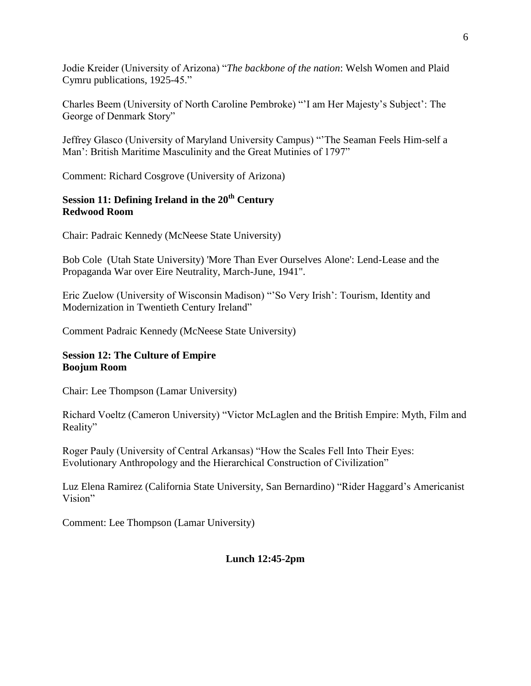Jodie Kreider (University of Arizona) "*The backbone of the nation*: Welsh Women and Plaid Cymru publications, 1925-45."

Charles Beem (University of North Caroline Pembroke) "'I am Her Majesty's Subject': The George of Denmark Story"

Jeffrey Glasco (University of Maryland University Campus) "'The Seaman Feels Him-self a Man': British Maritime Masculinity and the Great Mutinies of 1797"

Comment: Richard Cosgrove (University of Arizona)

# **Session 11: Defining Ireland in the 20th Century Redwood Room**

Chair: Padraic Kennedy (McNeese State University)

Bob Cole (Utah State University) 'More Than Ever Ourselves Alone': Lend-Lease and the Propaganda War over Eire Neutrality, March-June, 1941".

Eric Zuelow (University of Wisconsin Madison) "'So Very Irish': Tourism, Identity and Modernization in Twentieth Century Ireland"

Comment Padraic Kennedy (McNeese State University)

# **Session 12: The Culture of Empire Boojum Room**

Chair: Lee Thompson (Lamar University)

Richard Voeltz (Cameron University) "Victor McLaglen and the British Empire: Myth, Film and Reality"

Roger Pauly (University of Central Arkansas) "How the Scales Fell Into Their Eyes: Evolutionary Anthropology and the Hierarchical Construction of Civilization"

Luz Elena Ramirez (California State University, San Bernardino) "Rider Haggard's Americanist Vision"

Comment: Lee Thompson (Lamar University)

# **Lunch 12:45-2pm**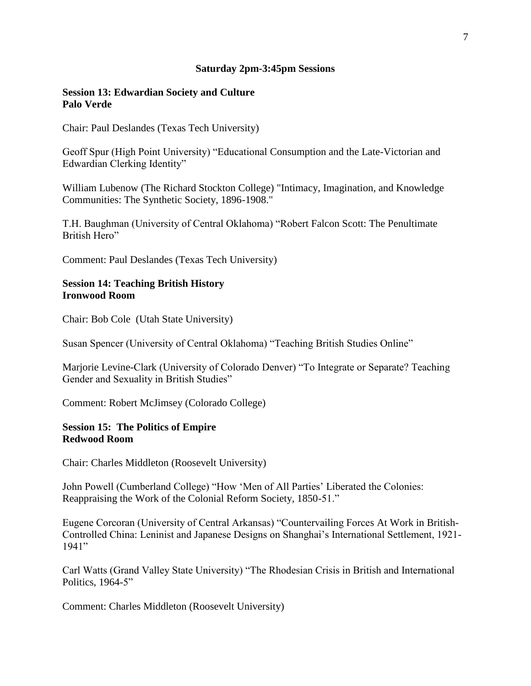#### **Saturday 2pm-3:45pm Sessions**

### **Session 13: Edwardian Society and Culture Palo Verde**

Chair: Paul Deslandes (Texas Tech University)

Geoff Spur (High Point University) "Educational Consumption and the Late-Victorian and Edwardian Clerking Identity"

William Lubenow (The Richard Stockton College) "Intimacy, Imagination, and Knowledge Communities: The Synthetic Society, 1896-1908."

T.H. Baughman (University of Central Oklahoma) "Robert Falcon Scott: The Penultimate British Hero"

Comment: Paul Deslandes (Texas Tech University)

### **Session 14: Teaching British History Ironwood Room**

Chair: Bob Cole (Utah State University)

Susan Spencer (University of Central Oklahoma) "Teaching British Studies Online"

Marjorie Levine-Clark (University of Colorado Denver) "To Integrate or Separate? Teaching Gender and Sexuality in British Studies"

Comment: Robert McJimsey (Colorado College)

#### **Session 15: The Politics of Empire Redwood Room**

Chair: Charles Middleton (Roosevelt University)

John Powell (Cumberland College) "How 'Men of All Parties' Liberated the Colonies: Reappraising the Work of the Colonial Reform Society, 1850-51."

Eugene Corcoran (University of Central Arkansas) "Countervailing Forces At Work in British-Controlled China: Leninist and Japanese Designs on Shanghai's International Settlement, 1921- 1941"

Carl Watts (Grand Valley State University) "The Rhodesian Crisis in British and International Politics, 1964-5"

Comment: Charles Middleton (Roosevelt University)